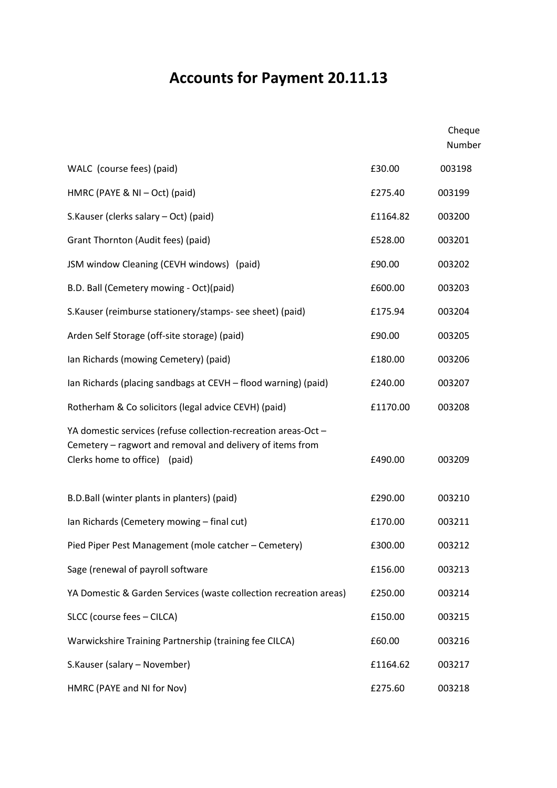## Accounts for Payment 20.11.13

|                                                                                                                                                              |          | Cheque<br>Number |
|--------------------------------------------------------------------------------------------------------------------------------------------------------------|----------|------------------|
| WALC (course fees) (paid)                                                                                                                                    | £30.00   | 003198           |
| HMRC (PAYE & NI - Oct) (paid)                                                                                                                                | £275.40  | 003199           |
| S.Kauser (clerks salary - Oct) (paid)                                                                                                                        | £1164.82 | 003200           |
| Grant Thornton (Audit fees) (paid)                                                                                                                           | £528.00  | 003201           |
| JSM window Cleaning (CEVH windows) (paid)                                                                                                                    | £90.00   | 003202           |
| B.D. Ball (Cemetery mowing - Oct)(paid)                                                                                                                      | £600.00  | 003203           |
| S.Kauser (reimburse stationery/stamps- see sheet) (paid)                                                                                                     | £175.94  | 003204           |
| Arden Self Storage (off-site storage) (paid)                                                                                                                 | £90.00   | 003205           |
| Ian Richards (mowing Cemetery) (paid)                                                                                                                        | £180.00  | 003206           |
| Ian Richards (placing sandbags at CEVH - flood warning) (paid)                                                                                               | £240.00  | 003207           |
| Rotherham & Co solicitors (legal advice CEVH) (paid)                                                                                                         | £1170.00 | 003208           |
| YA domestic services (refuse collection-recreation areas-Oct -<br>Cemetery - ragwort and removal and delivery of items from<br>Clerks home to office) (paid) | £490.00  | 003209           |
| B.D.Ball (winter plants in planters) (paid)                                                                                                                  | £290.00  | 003210           |
| Ian Richards (Cemetery mowing - final cut)                                                                                                                   | £170.00  | 003211           |
| Pied Piper Pest Management (mole catcher - Cemetery)                                                                                                         | £300.00  | 003212           |
| Sage (renewal of payroll software                                                                                                                            | £156.00  | 003213           |
| YA Domestic & Garden Services (waste collection recreation areas)                                                                                            | £250.00  | 003214           |
| SLCC (course fees - CILCA)                                                                                                                                   | £150.00  | 003215           |
| Warwickshire Training Partnership (training fee CILCA)                                                                                                       | £60.00   | 003216           |
| S.Kauser (salary - November)                                                                                                                                 | £1164.62 | 003217           |
| HMRC (PAYE and NI for Nov)                                                                                                                                   | £275.60  | 003218           |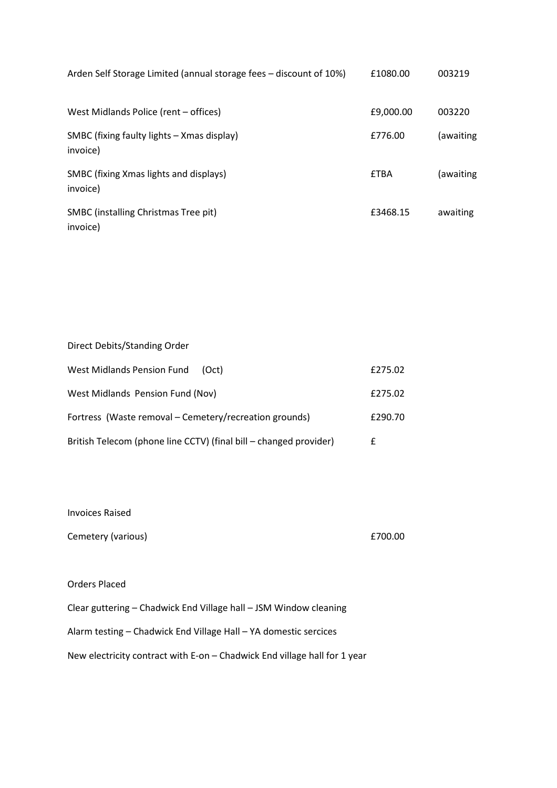| Arden Self Storage Limited (annual storage fees – discount of 10%) | £1080.00    | 003219    |
|--------------------------------------------------------------------|-------------|-----------|
| West Midlands Police (rent - offices)                              | £9,000.00   | 003220    |
| SMBC (fixing faulty lights – Xmas display)<br>invoice)             | £776.00     | (awaiting |
| SMBC (fixing Xmas lights and displays)<br>invoice)                 | <b>£TBA</b> | awaiting) |
| <b>SMBC</b> (installing Christmas Tree pit)<br>invoice)            | £3468.15    | awaiting  |

| Direct Debits/Standing Order                                      |         |
|-------------------------------------------------------------------|---------|
| West Midlands Pension Fund<br>(Oct)                               | £275.02 |
| West Midlands Pension Fund (Nov)                                  | £275.02 |
| Fortress (Waste removal – Cemetery/recreation grounds)            | £290.70 |
| British Telecom (phone line CCTV) (final bill – changed provider) | f       |

Invoices Raised

Cemetery (various) £700.00

## Orders Placed

Clear guttering – Chadwick End Village hall – JSM Window cleaning Alarm testing – Chadwick End Village Hall – YA domestic sercices New electricity contract with E-on – Chadwick End village hall for 1 year